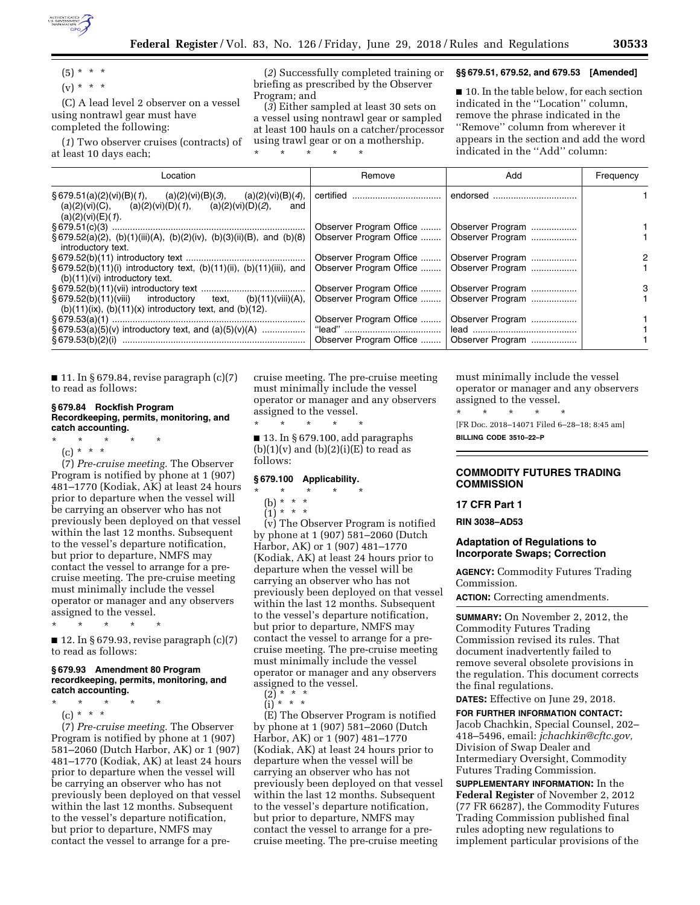

 $(5) * * * *$  $(v) * * * *$ 

(C) A lead level 2 observer on a vessel using nontrawl gear must have completed the following:

(*1*) Two observer cruises (contracts) of at least 10 days each;

(*2*) Successfully completed training or briefing as prescribed by the Observer Program; and

(*3*) Either sampled at least 30 sets on a vessel using nontrawl gear or sampled at least 100 hauls on a catcher/processor using trawl gear or on a mothership. \* \* \* \* \*

### **§§ 679.51, 679.52, and 679.53 [Amended]**

■ 10. In the table below, for each section indicated in the ''Location'' column, remove the phrase indicated in the ''Remove'' column from wherever it appears in the section and add the word indicated in the ''Add'' column:

| Location                                                                                                                                                          | Remove                  | Add                                         | Frequency |
|-------------------------------------------------------------------------------------------------------------------------------------------------------------------|-------------------------|---------------------------------------------|-----------|
| $\S 679.51(a)(2)(vi)(B)(1),$ (a)(2)(vi)(B)(3),<br>(a)(2)(vi)(B)( <i>4</i> ),<br>(a)(2)(vi)(C), (a)(2)(vi)(D)(1), (a)(2)(vi)(D)(2),<br>and<br>$(a)(2)(vi)(E)(1)$ . |                         | endorsed                                    |           |
|                                                                                                                                                                   | Observer Program Office | Observer Program                            |           |
| § 679.52(a)(2), (b)(1)(iii)(A), (b)(2)(iv), (b)(3)(ii)(B), and (b)(8)<br>introductory text.                                                                       |                         | Observer Program Office    Observer Program |           |
|                                                                                                                                                                   | Observer Program Office | Observer Program                            |           |
| $\S 679.52(b)(11)(i)$ introductory text, (b)(11)(ii), (b)(11)(iii), and<br>$(b)(11)(vi)$ introductory text.                                                       | Observer Program Office | Observer Program                            |           |
|                                                                                                                                                                   | Observer Program Office | Observer Program                            | 3         |
| § 679.52(b)(11)(viii) introductory<br>text, $(b)(11)(viii)(A),$<br>$(b)(11)(ix)$ , $(b)(11)(x)$ introductory text, and $(b)(12)$ .                                |                         | Observer Program Office    Observer Program |           |
|                                                                                                                                                                   | Observer Program Office | Observer Program                            |           |
| $\S 679.53(a)(5)(v)$ introductory text, and $(a)(5)(v)(A)$                                                                                                        |                         |                                             |           |
|                                                                                                                                                                   | Observer Program Office | Observer Program                            |           |

 $\blacksquare$  11. In § 679.84, revise paragraph (c)(7) to read as follows:

### **§ 679.84 Rockfish Program Recordkeeping, permits, monitoring, and catch accounting.**

- \* \* \* \* \*
	- $(c) * * * *$

(7) *Pre-cruise meeting.* The Observer Program is notified by phone at 1 (907) 481–1770 (Kodiak, AK) at least 24 hours prior to departure when the vessel will be carrying an observer who has not previously been deployed on that vessel within the last 12 months. Subsequent to the vessel's departure notification, but prior to departure, NMFS may contact the vessel to arrange for a precruise meeting. The pre-cruise meeting must minimally include the vessel operator or manager and any observers assigned to the vessel.

\* \* \* \* \*

 $\blacksquare$  12. In § 679.93, revise paragraph (c)(7) to read as follows:

### **§ 679.93 Amendment 80 Program recordkeeping, permits, monitoring, and catch accounting.**

\* \* \* \* \*

(c) \* \* \*

(7) *Pre-cruise meeting.* The Observer Program is notified by phone at 1 (907) 581–2060 (Dutch Harbor, AK) or 1 (907) 481–1770 (Kodiak, AK) at least 24 hours prior to departure when the vessel will be carrying an observer who has not previously been deployed on that vessel within the last 12 months. Subsequent to the vessel's departure notification, but prior to departure, NMFS may contact the vessel to arrange for a precruise meeting. The pre-cruise meeting must minimally include the vessel operator or manager and any observers assigned to the vessel.

\* \* \* \* \*  $\blacksquare$  13. In § 679.100, add paragraphs  $(b)(1)(v)$  and  $(b)(2)(i)(E)$  to read as follows:

# **§ 679.100 Applicability.**

- \* \* \* \* \*
	- (b) \* \* \*

 $(1) * * * *$ 

(v) The Observer Program is notified by phone at 1 (907) 581–2060 (Dutch Harbor, AK) or 1 (907) 481–1770 (Kodiak, AK) at least 24 hours prior to departure when the vessel will be carrying an observer who has not previously been deployed on that vessel within the last 12 months. Subsequent to the vessel's departure notification, but prior to departure, NMFS may contact the vessel to arrange for a precruise meeting. The pre-cruise meeting must minimally include the vessel operator or manager and any observers assigned to the vessel.

(2) \* \* \*

(i) \* \* \*

(E) The Observer Program is notified by phone at 1 (907) 581–2060 (Dutch Harbor, AK) or 1 (907) 481–1770 (Kodiak, AK) at least 24 hours prior to departure when the vessel will be carrying an observer who has not previously been deployed on that vessel within the last 12 months. Subsequent to the vessel's departure notification, but prior to departure, NMFS may contact the vessel to arrange for a precruise meeting. The pre-cruise meeting

must minimally include the vessel operator or manager and any observers assigned to the vessel.

\* \* \* \* \* [FR Doc. 2018–14071 Filed 6–28–18; 8:45 am] **BILLING CODE 3510–22–P** 

# **COMMODITY FUTURES TRADING COMMISSION**

### **17 CFR Part 1**

**RIN 3038–AD53** 

# **Adaptation of Regulations to Incorporate Swaps; Correction**

**AGENCY:** Commodity Futures Trading Commission.

**ACTION:** Correcting amendments.

**SUMMARY:** On November 2, 2012, the Commodity Futures Trading Commission revised its rules. That document inadvertently failed to remove several obsolete provisions in the regulation. This document corrects the final regulations.

**DATES:** Effective on June 29, 2018.

**FOR FURTHER INFORMATION CONTACT:**  Jacob Chachkin, Special Counsel, 202– 418–5496, email: *[jchachkin@cftc.gov,](mailto:jchachkin@cftc.gov)*  Division of Swap Dealer and Intermediary Oversight, Commodity Futures Trading Commission.

**SUPPLEMENTARY INFORMATION:** In the **Federal Register** of November 2, 2012 (77 FR 66287), the Commodity Futures Trading Commission published final rules adopting new regulations to implement particular provisions of the